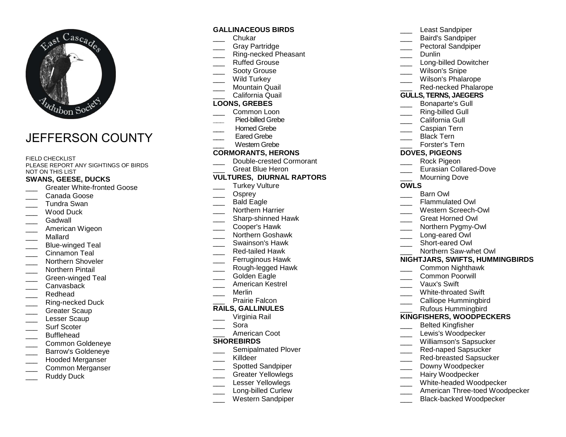

# JEFFERSON COUNTY

#### FIELD CHECKLIST

 PLEASE REPORT ANY SIGHTINGS OF BIRDS NOT ON THIS LIST

### **SWANS, GEESE, DUCKS**

- \_\_\_ Greater White-fronted Goose
- \_\_\_ Canada Goose
- \_\_\_ Tundra Swan
- \_\_\_ Wood Duck
- \_\_\_ Gadwall
- \_\_\_ American Wigeon
- \_\_\_ Mallard
- \_\_\_ Blue-winged Teal
- \_\_\_ Cinnamon Teal
- \_\_\_ Northern Shoveler
- \_\_\_ Northern Pintail
- \_\_\_ Green-winged Teal
- Canvasback
- \_\_\_ Redhead
- \_\_\_ Ring-necked Duck
- Greater Scaup
- Lesser Scaup
- Surf Scoter
- \_\_\_ Bufflehead
- \_\_\_ Common Goldeneye
- \_\_\_ Barrow's Goldeneye
- \_\_\_ Hooded Merganser
- \_\_\_ Common Merganser
- Ruddy Duck

#### **GALLINACEOUS BIRDS**

- \_\_\_ Chukar
- \_\_\_ Gray Partridge
- \_\_\_ Ring-necked Pheasant
- \_\_\_ Ruffed Grouse
- Sooty Grouse
- Wild Turkey
- \_\_\_ Mountain Quail
- \_\_\_ California Quail

#### **LOONS, GREBES**

- \_\_\_ Common Loon
- **\_\_\_** Pied-billed Grebe
- Horned Grebe
- Eared Grebe
- \_\_\_ Western Grebe

#### **CORMORANTS, HERONS**

- \_\_\_ Double-crested Cormorant
- Great Blue Heron

#### **VULTURES, DIURNAL RAPTORS**

- \_\_\_ Turkey Vulture
- Osprey
- \_\_\_ Bald Eagle
- \_\_\_ Northern Harrier
- \_\_\_\_ Sharp-shinned Hawk
- \_\_\_ Cooper's Hawk
- \_\_\_ Northern Goshawk
- \_\_\_ Swainson's Hawk
- \_\_\_ Red-tailed Hawk
- \_\_\_ Ferruginous Hawk
- \_\_\_ Rough-legged Hawk
- Golden Eagle
- \_\_\_ American Kestrel
- \_\_\_ Merlin
- \_\_\_ Prairie Falcon

#### **RAILS, GALLINULES**

- \_\_\_ Virginia Rail
- \_\_\_ Sora
- \_\_\_ American Coot

#### **SHOREBIRDS**

- \_\_\_ Semipalmated Plover
- \_\_\_ Killdeer
- \_\_\_ Spotted Sandpiper
- \_\_\_ Greater Yellowlegs
- Lesser Yellowlegs
- \_\_\_\_ Long-billed Curlew
- \_\_\_ Western Sandpiper
- Least Sandpiper
- \_\_\_ Baird's Sandpiper
- \_\_\_ Pectoral Sandpiper
- \_\_\_ Dunlin
- \_\_\_\_ Long-billed Dowitcher
- Wilson's Snipe
- \_\_\_ Wilson's Phalarope
	-
- \_\_\_ Red-necked Phalarope

#### **GULLS, TERNS, JAEGERS**

- \_\_\_ Bonaparte's Gull
- Ring-billed Gull
- California Gull
- \_\_\_ Caspian Tern
- Black Tern
- \_\_\_ Forster's Tern

#### **DOVES, PIGEONS**

- \_\_\_ Rock Pigeon
- \_\_\_ Eurasian Collared-Dove
- Mourning Dove

#### **OWLS**

- Barn Owl
- \_\_\_ Flammulated Owl
- \_\_\_ Western Screech-Owl

\_\_\_ Northern Pygmy-Owl Long-eared Owl \_\_\_ Short-eared Owl \_\_\_ Northern Saw-whet Owl

**NIGHTJARS, SWIFTS, HUMMINGBIRDS**

\_\_\_ Common Nighthawk \_\_\_ Common Poorwill \_\_\_ Vaux's Swift \_\_\_ White-throated Swift \_\_\_ Calliope Hummingbird \_\_\_ Rufous Hummingbird **KINGFISHERS, WOODPECKERS**\_\_\_ Belted Kingfisher \_\_\_ Lewis's Woodpecker \_\_\_ Williamson's Sapsucker Red-naped Sapsucker \_\_\_ Red-breasted Sapsucker Downy Woodpecker Hairy Woodpecker \_\_\_ White-headed Woodpecker \_\_\_ American Three-toed Woodpecker Black-backed Woodpecker

\_\_\_ Great Horned Owl